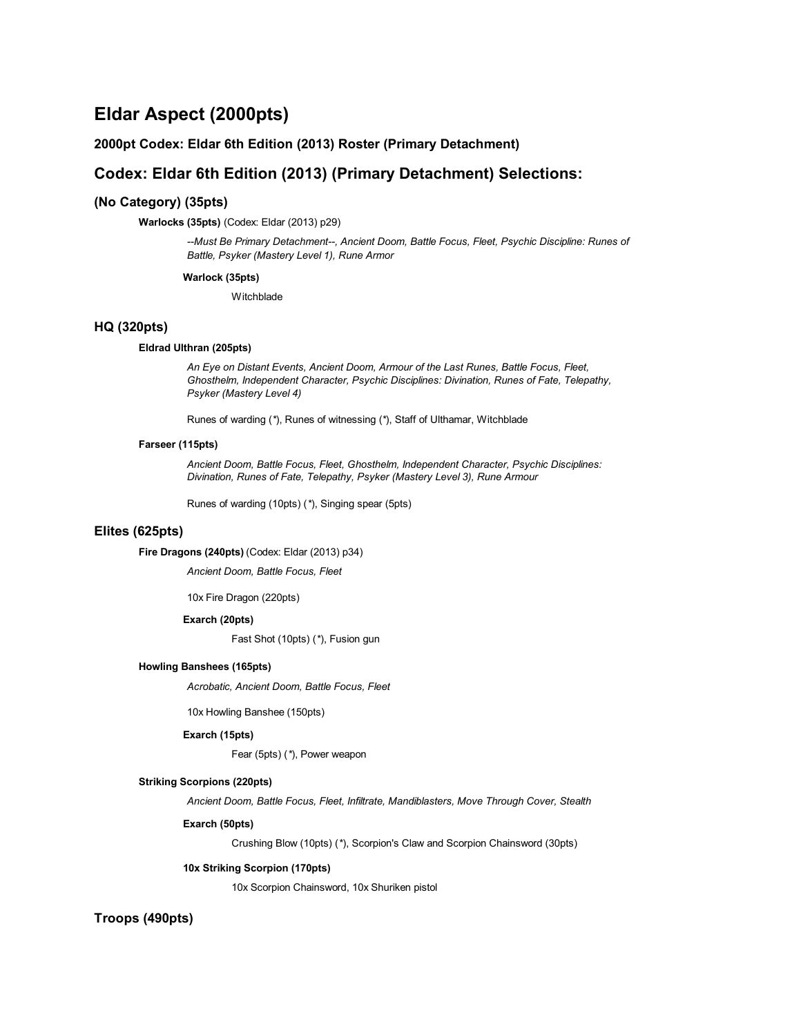# **Eldar Aspect (2000pts)**

## **2000pt Codex: Eldar 6th Edition (2013) Roster (Primary Detachment)**

## **Codex: Eldar 6th Edition (2013) (Primary Detachment) Selections:**

## **(No Category) (35pts)**

**Warlocks (35pts)** (Codex: Eldar (2013) p29)

*--Must Be Primary Detachment--, Ancient Doom, Battle Focus, Fleet, Psychic Discipline: Runes of Battle, Psyker (Mastery Level 1), Rune Armor*

#### **Warlock (35pts)**

**Witchblade** 

### **HQ (320pts)**

#### **Eldrad Ulthran (205pts)**

*An Eye on Distant Events, Ancient Doom, Armour of the Last Runes, Battle Focus, Fleet, Ghosthelm, Independent Character, Psychic Disciplines: Divination, Runes of Fate, Telepathy, Psyker (Mastery Level 4)*

Runes of warding (*\**), Runes of witnessing (*\**), Staff of Ulthamar, Witchblade

#### **Farseer (115pts)**

*Ancient Doom, Battle Focus, Fleet, Ghosthelm, Independent Character, Psychic Disciplines: Divination, Runes of Fate, Telepathy, Psyker (Mastery Level 3), Rune Armour*

Runes of warding (10pts) (*\**), Singing spear (5pts)

## **Elites (625pts)**

**Fire Dragons (240pts)** (Codex: Eldar (2013) p34)

*Ancient Doom, Battle Focus, Fleet*

10x Fire Dragon (220pts)

#### **Exarch (20pts)**

Fast Shot (10pts) (*\**), Fusion gun

### **Howling Banshees (165pts)**

*Acrobatic, Ancient Doom, Battle Focus, Fleet*

10x Howling Banshee (150pts)

#### **Exarch (15pts)**

Fear (5pts) (*\**), Power weapon

#### **Striking Scorpions (220pts)**

*Ancient Doom, Battle Focus, Fleet, Infiltrate, Mandiblasters, Move Through Cover, Stealth*

#### **Exarch (50pts)**

Crushing Blow (10pts) (*\**), Scorpion's Claw and Scorpion Chainsword (30pts)

#### **10x Striking Scorpion (170pts)**

10x Scorpion Chainsword, 10x Shuriken pistol

## **Troops (490pts)**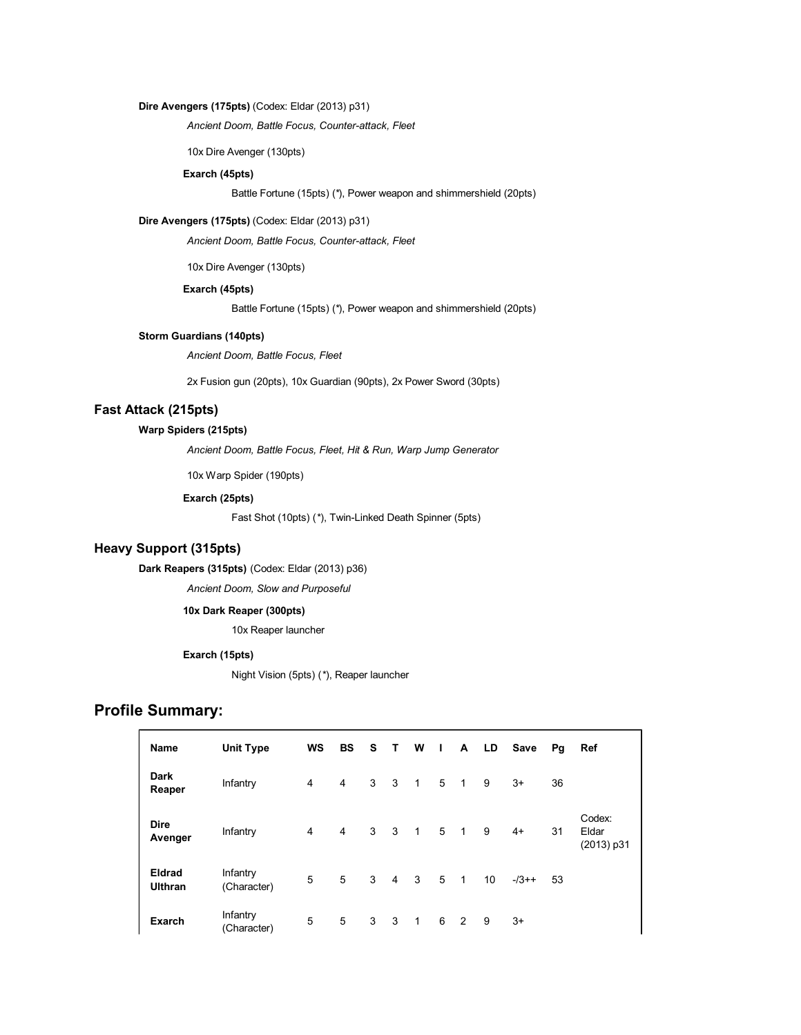### **Dire Avengers (175pts)** (Codex: Eldar (2013) p31)

*Ancient Doom, Battle Focus, Counter-attack, Fleet*

10x Dire Avenger (130pts)

### **Exarch (45pts)**

Battle Fortune (15pts) (*\**), Power weapon and shimmershield (20pts)

#### **Dire Avengers (175pts)** (Codex: Eldar (2013) p31)

*Ancient Doom, Battle Focus, Counter-attack, Fleet*

10x Dire Avenger (130pts)

#### **Exarch (45pts)**

Battle Fortune (15pts) (*\**), Power weapon and shimmershield (20pts)

## **Storm Guardians (140pts)**

*Ancient Doom, Battle Focus, Fleet*

2x Fusion gun (20pts), 10x Guardian (90pts), 2x Power Sword (30pts)

## **Fast Attack (215pts)**

## **Warp Spiders (215pts)**

*Ancient Doom, Battle Focus, Fleet, Hit & Run, Warp Jump Generator*

10x Warp Spider (190pts)

### **Exarch (25pts)**

Fast Shot (10pts) (*\**), Twin-Linked Death Spinner (5pts)

## **Heavy Support (315pts)**

**Dark Reapers (315pts)** (Codex: Eldar (2013) p36)

*Ancient Doom, Slow and Purposeful*

## **10x Dark Reaper (300pts)**

10x Reaper launcher

### **Exarch (15pts)**

Night Vision (5pts) (*\**), Reaper launcher

## **Profile Summary:**

| Name                            | <b>Unit Type</b>        | WS | <b>BS</b> | S | T.                      | W              | $\mathbf{L}$ | A              | LD              | Save   | Pg | Ref                           |
|---------------------------------|-------------------------|----|-----------|---|-------------------------|----------------|--------------|----------------|-----------------|--------|----|-------------------------------|
| <b>Dark</b><br>Reaper           | Infantry                | 4  | 4         | 3 | $\overline{\mathbf{3}}$ | $\overline{1}$ | 5            | $\overline{1}$ | 9               | $3+$   | 36 |                               |
| <b>Dire</b><br>Avenger          | Infantry                | 4  | 4         | 3 | $\overline{\mathbf{3}}$ | $\overline{1}$ | 5            | $\overline{1}$ | 9               | $4+$   | 31 | Codex:<br>Eldar<br>(2013) p31 |
| <b>Eldrad</b><br><b>Ulthran</b> | Infantry<br>(Character) | 5  | 5         | 3 | $\overline{4}$          | 3              | 5            | $\overline{1}$ | 10 <sup>1</sup> | $-73+$ | 53 |                               |
| <b>Exarch</b>                   | Infantry<br>(Character) | 5  | 5         | 3 | 3                       | $\mathbf{1}$   | 6            | $\overline{2}$ | 9               | $3+$   |    |                               |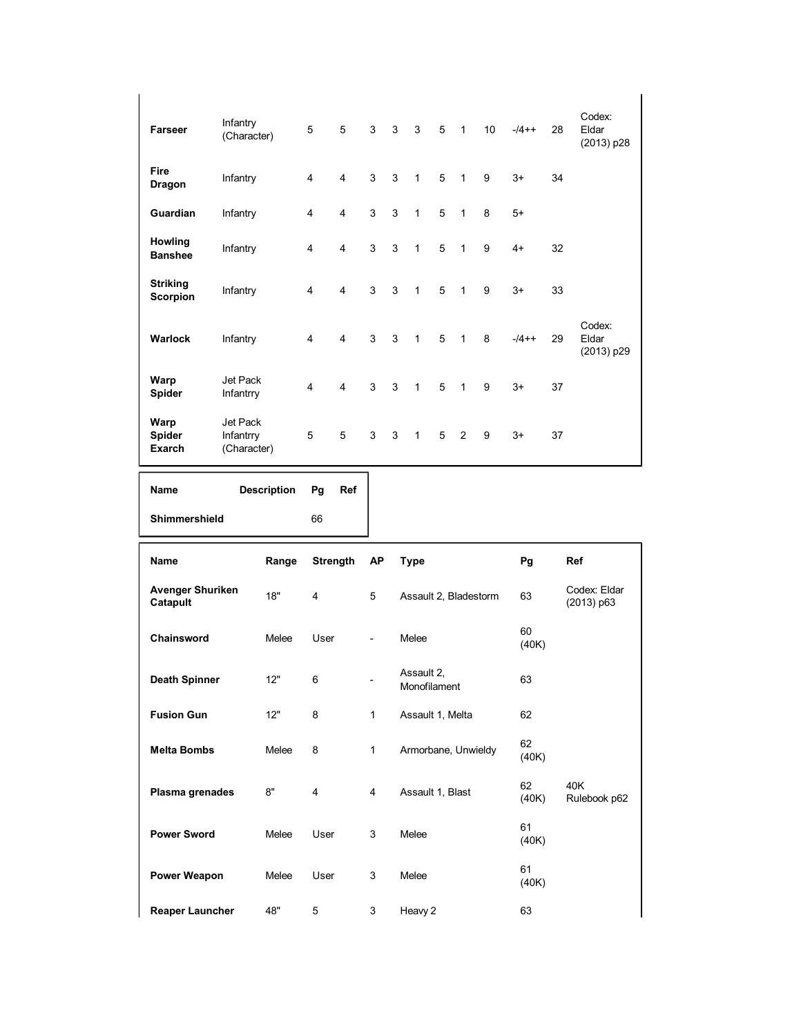| <b>Farseer</b>                     | Infantry<br>(Character)              | 5              | 5                       | 3              | 3            | $\mathbf{3}$   | 5 | $\overline{1}$             | 10 <sup>°</sup> | $-74+$ | 28 | Codex:<br>Eldar<br>(2013) p28 |
|------------------------------------|--------------------------------------|----------------|-------------------------|----------------|--------------|----------------|---|----------------------------|-----------------|--------|----|-------------------------------|
| Fire<br><b>Dragon</b>              | Infantry                             | $\overline{4}$ | $\overline{4}$          | 3              | 3            | $\mathbf{1}$   | 5 | $\overline{1}$             | 9               | $3+$   | 34 |                               |
| Guardian                           | Infantry                             | 4              | $\overline{\mathbf{4}}$ | 3              | $\mathbf{3}$ | $\mathbf{1}$   | 5 | $\mathbf{1}$               | 8               | $5+$   |    |                               |
| Howling<br><b>Banshee</b>          | Infantry                             | $\overline{4}$ | $\overline{4}$          | 3              | 3            | $\mathbf{1}$   | 5 | $\mathbf{1}$               | 9               | $4+$   | 32 |                               |
| <b>Striking</b><br><b>Scorpion</b> | Infantry                             | 4              | $\overline{4}$          | $\mathbf{3}$   | 3            | $\mathbf{1}$   | 5 | $\overline{1}$             | 9               | $3+$   | 33 |                               |
| Warlock                            | Infantry                             | 4              | $\overline{\mathbf{4}}$ | 3 <sup>1</sup> | $\mathbf{3}$ | $\overline{1}$ | 5 | $\overline{1}$             | 8               | $-14+$ | 29 | Codex:<br>Eldar<br>(2013) p29 |
| Warp<br>Spider                     | Jet Pack<br>Infantrry                | $\overline{4}$ | $\overline{4}$          | 3              | 3            | $\mathbf{1}$   | 5 | $\overline{\phantom{0}}$ 1 | 9               | $3+$   | 37 |                               |
| Warp<br>Spider<br><b>Exarch</b>    | Jet Pack<br>Infantrry<br>(Character) | 5              | 5                       | 3              | 3            | $\mathbf{1}$   | 5 | 2                          | 9               | $3+$   | 37 |                               |

| Name          | Description Pg |    | Ref |
|---------------|----------------|----|-----|
| Shimmershield |                | 66 |     |

| <b>Name</b>                         | Range | Strength       | <b>AP</b>                | Type                       | Pg          | <b>Ref</b>                 |
|-------------------------------------|-------|----------------|--------------------------|----------------------------|-------------|----------------------------|
| <b>Avenger Shuriken</b><br>Catapult | 18"   | $\overline{4}$ | 5                        | Assault 2, Bladestorm      | 63          | Codex: Eldar<br>(2013) p63 |
| Chainsword                          | Melee | User           | $\overline{\phantom{a}}$ | Melee                      | 60<br>(40K) |                            |
| <b>Death Spinner</b>                | 12"   | 6              |                          | Assault 2,<br>Monofilament | 63          |                            |
| <b>Fusion Gun</b>                   | 12"   | 8              | 1                        | Assault 1, Melta           | 62          |                            |
| <b>Melta Bombs</b>                  | Melee | 8              | 1                        | Armorbane, Unwieldy        | 62<br>(40K) |                            |
| Plasma grenades                     | 8"    | $\overline{4}$ | 4                        | Assault 1, Blast           | 62<br>(40K) | 40K<br>Rulebook p62        |
| <b>Power Sword</b>                  | Melee | User           | 3                        | Melee                      | 61<br>(40K) |                            |
| Power Weapon                        | Melee | User           | 3                        | Melee                      | 61<br>(40K) |                            |
| <b>Reaper Launcher</b>              | 48"   | 5              | 3                        | Heavy 2                    | 63          |                            |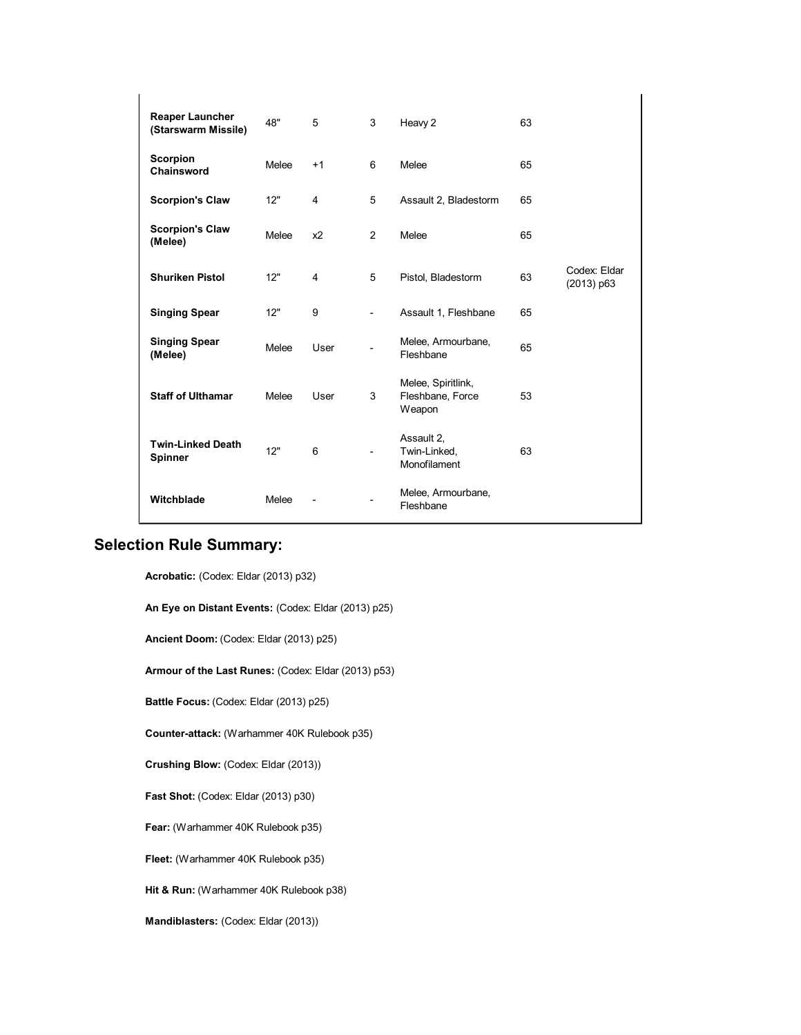| <b>Reaper Launcher</b><br>(Starswarm Missile) | 48"   | 5                       | 3                        | Heavy 2                                          | 63 |                              |
|-----------------------------------------------|-------|-------------------------|--------------------------|--------------------------------------------------|----|------------------------------|
| Scorpion<br>Chainsword                        | Melee | $+1$                    | 6                        | Melee                                            | 65 |                              |
| <b>Scorpion's Claw</b>                        | 12"   | 4                       | 5                        | Assault 2, Bladestorm                            | 65 |                              |
| <b>Scorpion's Claw</b><br>(Melee)             | Melee | x2                      | $\overline{2}$           | Melee                                            | 65 |                              |
| <b>Shuriken Pistol</b>                        | 12"   | $\overline{\mathbf{4}}$ | 5                        | Pistol, Bladestorm                               | 63 | Codex: Eldar<br>$(2013)$ p63 |
| <b>Singing Spear</b>                          | 12"   | 9                       | $\overline{\phantom{0}}$ | Assault 1, Fleshbane                             | 65 |                              |
| <b>Singing Spear</b><br>(Melee)               | Melee | User                    |                          | Melee, Armourbane,<br>Fleshbane                  | 65 |                              |
| <b>Staff of Ulthamar</b>                      | Melee | User                    | 3                        | Melee, Spiritlink,<br>Fleshbane, Force<br>Weapon | 53 |                              |
| <b>Twin-Linked Death</b><br><b>Spinner</b>    | 12"   | 6                       | $\overline{\phantom{a}}$ | Assault 2,<br>Twin-Linked,<br>Monofilament       | 63 |                              |
| Witchblade                                    | Melee |                         |                          | Melee, Armourbane,<br>Fleshbane                  |    |                              |

# **Selection Rule Summary:**

**Acrobatic:** (Codex: Eldar (2013) p32)

**An Eye on Distant Events:** (Codex: Eldar (2013) p25)

**Ancient Doom:** (Codex: Eldar (2013) p25)

**Armour of the Last Runes:** (Codex: Eldar (2013) p53)

**Battle Focus:** (Codex: Eldar (2013) p25)

**Counter-attack:** (Warhammer 40K Rulebook p35)

**Crushing Blow:** (Codex: Eldar (2013))

**Fast Shot:** (Codex: Eldar (2013) p30)

**Fear:** (Warhammer 40K Rulebook p35)

**Fleet:** (Warhammer 40K Rulebook p35)

**Hit & Run:** (Warhammer 40K Rulebook p38)

**Mandiblasters:** (Codex: Eldar (2013))